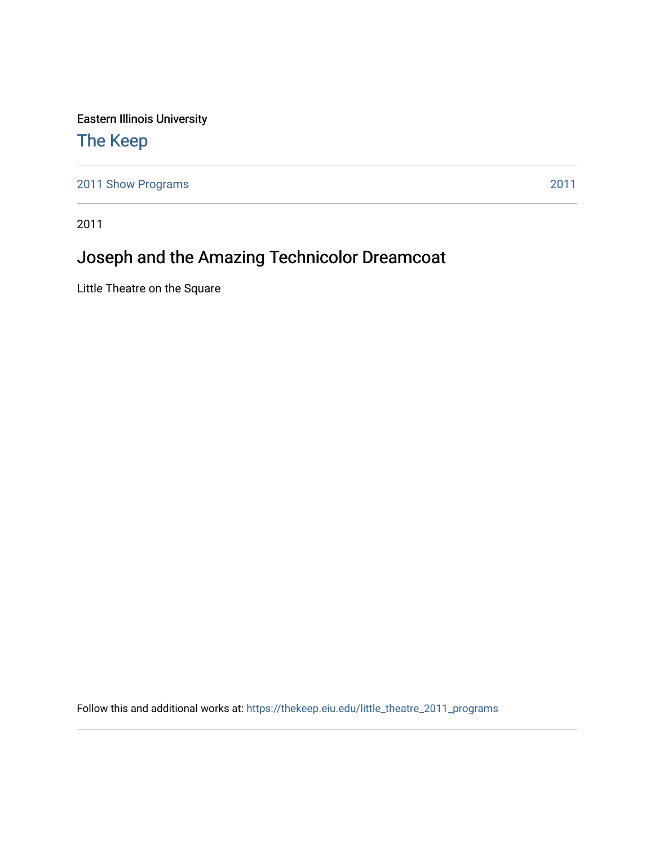Eastern Illinois University

# [The Keep](https://thekeep.eiu.edu/)

[2011 Show Programs](https://thekeep.eiu.edu/little_theatre_2011_programs) [2011](https://thekeep.eiu.edu/little_theatre_2011) 

2011

# Joseph and the Amazing Technicolor Dreamcoat

Little Theatre on the Square

Follow this and additional works at: [https://thekeep.eiu.edu/little\\_theatre\\_2011\\_programs](https://thekeep.eiu.edu/little_theatre_2011_programs?utm_source=thekeep.eiu.edu%2Flittle_theatre_2011_programs%2F3&utm_medium=PDF&utm_campaign=PDFCoverPages)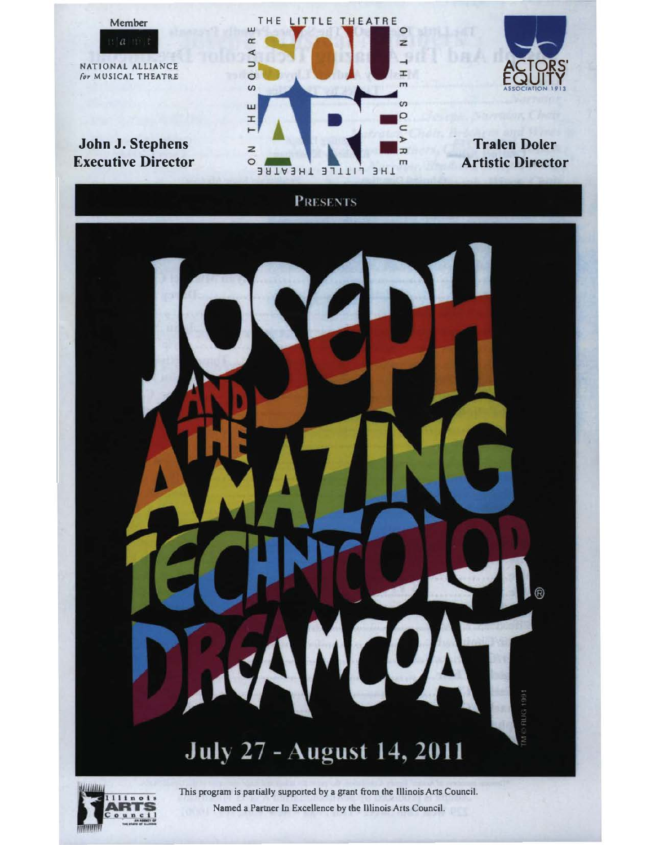

Named a Partner ln Excellence by the Illinois Arts Council.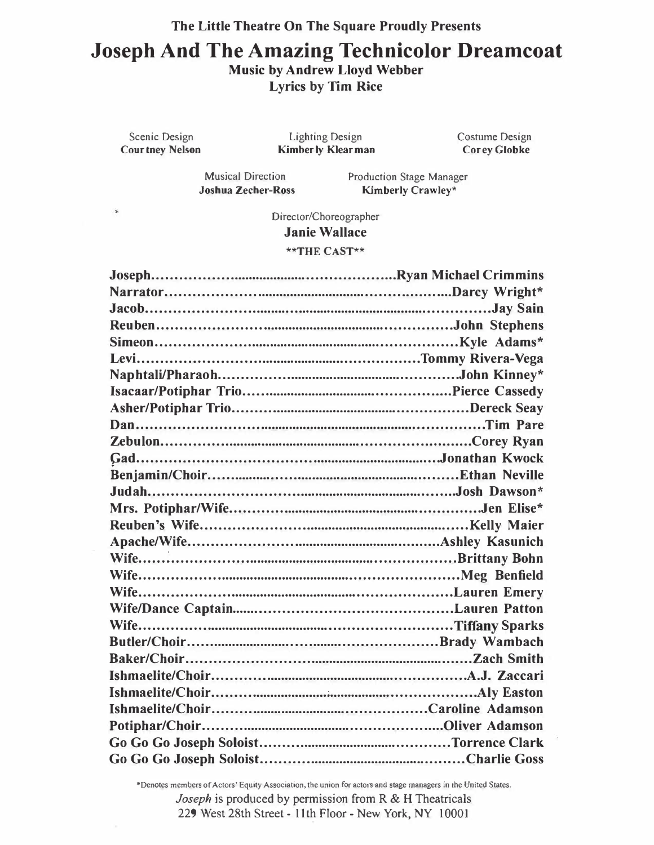# The Little Theatre On The Square Proudly Presents Joseph And The Amazing Technicolor Dreamcoat Music by Andrew Lloyd Webber Lyrics by Tim Rice

Scenic Design Courtney Nelson

Lighting Design Kimberly Klearman Costume Design Corey Globke

Musical Direction Joshua Zecher-Ross Production Stage Manager Kimberly Crawley\*

Director/Choreographer Janie Wallace \*\*THE CAST\*\*

\*Denotes members of Actors' Equity Association, the union for actors and stage managers in the United States. Joseph is produced by permission from R & H Theatricals 229 West 28th Street - 11th Floor - New York, NY 10001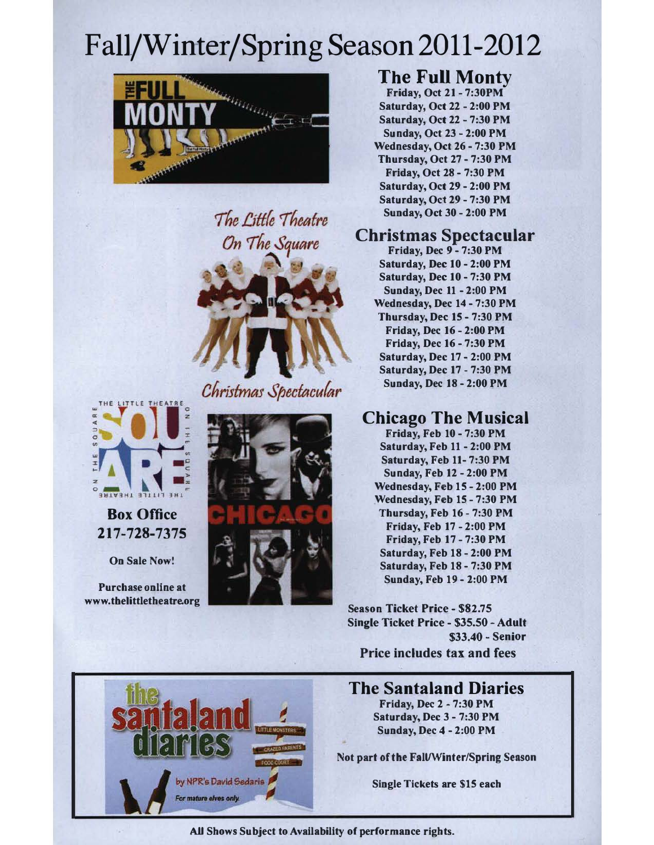# Fall/Winter/Spring Season 2011-2012







Christmas Spectacular



Box Office 217-728-7375

On Sale Now!

Purchase online at www.tbelittletheatre.org



## The Full Monty

Friday, Oct 21 - 7:30PM Saturday, Oct 22 - 2:00 PM Saturday, Oct 22 - 7:30 PM Sunday, Oct 23 - 2:00 PM Wednesday, Oct 26- 7:30 PM Thursday, Oct 27 - 7:30 PM Friday, Oct 28 - 7:30 PM Saturday, Oct 29 - 2:00 PM Saturday, Oct 29- 7:30 PM Sunday, Oct 30 - 2:00 PM

## Christmas Spectacular

Friday, Dec 9- 7:30 PM Saturday, Dec 10 - 2:00 PM Saturday, Dec 10 - 7:30 PM Sunday, Dec 11 - 2:00 PM Wednesday, Dec 14 - 7:30 PM Thursday, Dec 15 - 7:30 PM Friday, Dec 16- 2:00 PM Friday, Dec 16- 7:30 PM Saturday, Dec 17 - 2:00 PM Saturday, Dec 17 - 7:30 PM Sunday, Dec 18 - 2:00 PM

# Chicago The Musical

Friday, Feb 10 - 7:30 PM Saturday, Feb 11 - 2:00 PM Saturday, Feb 11- 7:30 PM Sunday, Feb 12 - 2:00 PM Wednesday, Feb 15 - 2:00 PM Wednesday, Feb 15 - 7:30 PM Thursday, Feb 16 - 7:30 PM Friday, Feb 17 - 2:00 PM Friday, Feb 17 - 7:30 PM Saturday, Feb 18 - 2:00 PM Saturday, Feb 18 - 7:30 PM Sunday, Feb 19 - 2:00 PM

Season Ticket Price - \$82.75 Single Ticket Price - \$35.50 - Adult \$33.40 - Senior Price includes tax and fees

# by NPR's David Sedaris

For mature elves only.

## The Santaland Diaries

Friday, Dec 2 - 7:30 PM Saturday, Dec 3 - 7:30 PM Sunday, Dec 4 - 2:00 PM

Not part of the Fall/Winter/Spring Season

Single Tickets are \$15 each

#### AU Shows Subject to Availability of performance rights.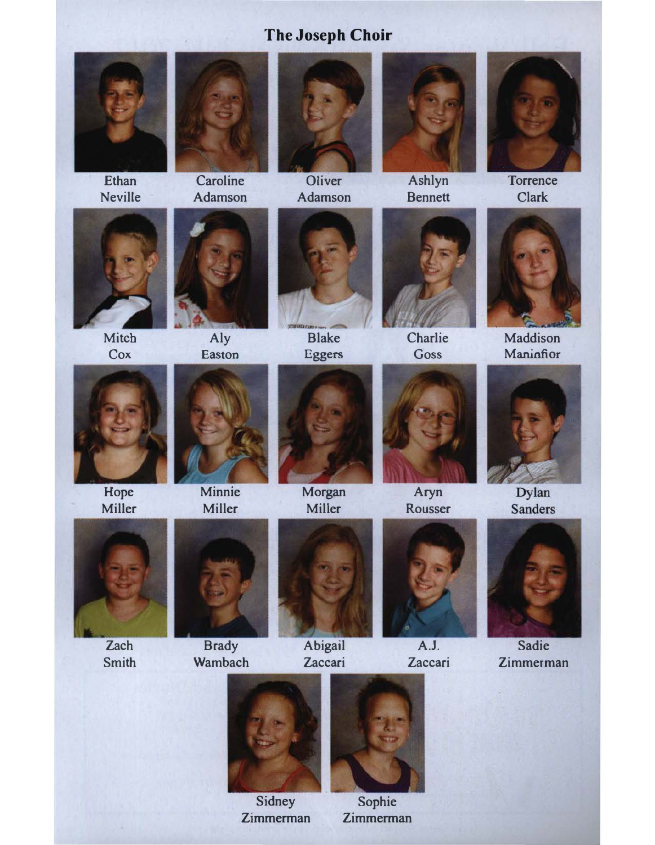# The Joseph Choir



Ethan Neville



Adamson



**Oliver** Adamson



Ashlyn Bennett



**Torrence** Clark



Mitch **Cox** 





Blake



**Charlie Goss** 



Maddison Maninfior



Hope Miller





Morgan



Aryn Rousser



Dylan **Sanders** 



Zach Smith



Minnie

**Brady Wambach** 



Abigail Zaccari



A.J. Zaccari



Sadie Zimmerman



Sidney Zimmerman



Sophie Zimmerman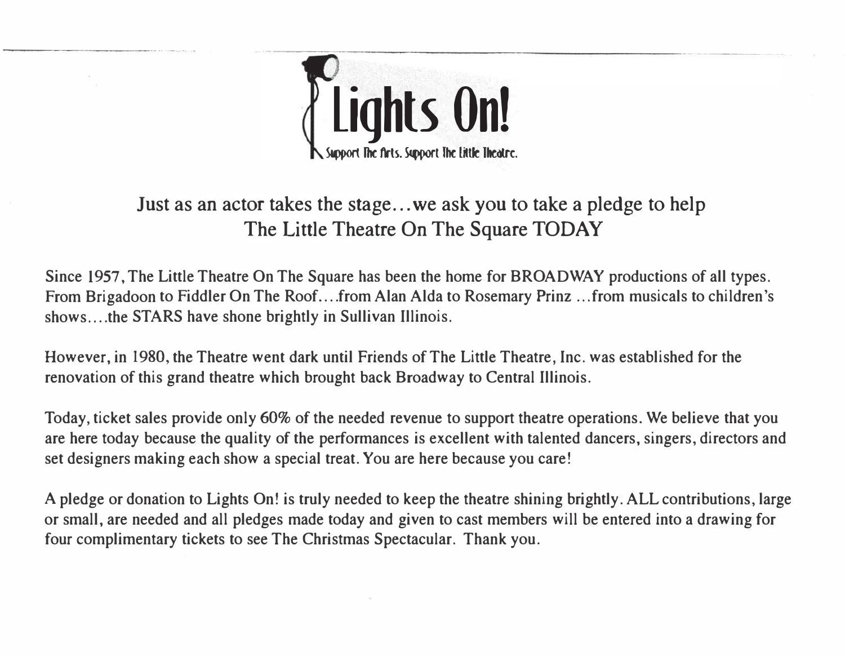

-------------------- - - .

# Just as an actor takes the stage ... we ask you to take a pledge to help The Little Theatre On The Square TODAY

Since 1957, The Little Theatre On The Square has been the home for BROADWAY productions of all types. From Brigadoon to Fiddler On The Roof.... from Alan Alda to Rosemary Prinz ... from musicals to children's shows....the STARS have shone brightly in Sullivan Illinois.

However, in 1980, the Theatre went dark until Friends of The Little Theatre, Inc. was established for the renovation of this grand theatre which brought back Broadway to Central Illinois.

Today, ticket sales provide only 60% of the needed revenue to support theatre operations. We believe that you are here today because the quality of the performances is excellent with talented dancers, singers, directors and set designers making each show a special treat. You are here because you care!

A pledge or donation to Lights On! is truly needed to keep the theatre shining brightly. ALL contributions, large or small, are needed and all pledges made today and given to cast members will be entered into a drawing for four complimentary tickets to see The Christmas Spectacular. Thank you.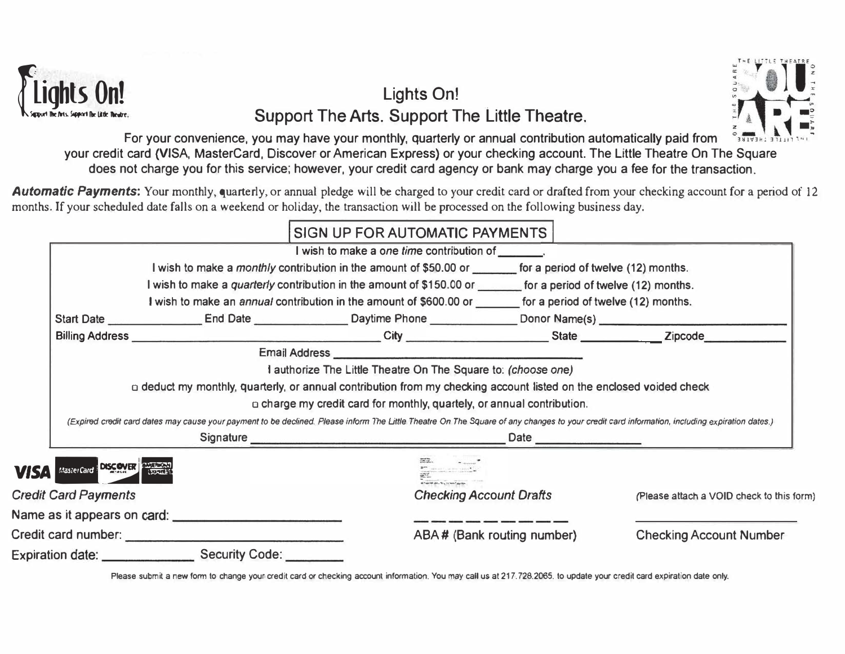

# Lights On! Eights On!<br>Support The Arts. Support The Little Theatre.<br>For your convenience you may have your monthly quarterly or annual contribution automatically paid from Support The Arts. Support The Little Theatre.



|                                                                                                                           | Support The Arts Support The Little Theatre.                                                                                                                                                  |                                                                                                                                                                                                                                                                                                                                                                                      | Support The Arts. Support The Little Theatre. |  |                                           |  |  |
|---------------------------------------------------------------------------------------------------------------------------|-----------------------------------------------------------------------------------------------------------------------------------------------------------------------------------------------|--------------------------------------------------------------------------------------------------------------------------------------------------------------------------------------------------------------------------------------------------------------------------------------------------------------------------------------------------------------------------------------|-----------------------------------------------|--|-------------------------------------------|--|--|
|                                                                                                                           |                                                                                                                                                                                               | For your convenience, you may have your monthly, quarterly or annual contribution automatically paid from Sauvant attach<br>your credit card (VISA, MasterCard, Discover or American Express) or your checking account. The Little Theatre On The Square<br>does not charge you for this service; however, your credit card agency or bank may charge you a fee for the transaction. |                                               |  |                                           |  |  |
|                                                                                                                           |                                                                                                                                                                                               | Automatic Payments: Your monthly, quarterly, or annual pledge will be charged to your credit card or drafted from your checking account for a period of 12<br>months. If your scheduled date falls on a weekend or holiday, the transaction will be processed on the following business day.                                                                                         |                                               |  |                                           |  |  |
|                                                                                                                           |                                                                                                                                                                                               |                                                                                                                                                                                                                                                                                                                                                                                      | SIGN UP FOR AUTOMATIC PAYMENTS                |  |                                           |  |  |
|                                                                                                                           |                                                                                                                                                                                               |                                                                                                                                                                                                                                                                                                                                                                                      | I wish to make a one time contribution of     |  |                                           |  |  |
| I wish to make a <i>monthly</i> contribution in the amount of \$50.00 or <u>equal</u> for a period of twelve (12) months. |                                                                                                                                                                                               |                                                                                                                                                                                                                                                                                                                                                                                      |                                               |  |                                           |  |  |
|                                                                                                                           |                                                                                                                                                                                               | I wish to make a quarterly contribution in the amount of \$150.00 or _______ for a period of twelve (12) months.                                                                                                                                                                                                                                                                     |                                               |  |                                           |  |  |
| I wish to make an annual contribution in the amount of \$600.00 or ______ for a period of twelve (12) months.             |                                                                                                                                                                                               |                                                                                                                                                                                                                                                                                                                                                                                      |                                               |  |                                           |  |  |
|                                                                                                                           |                                                                                                                                                                                               | Start Date _____________________End Date ___________________Daytime Phone ______________Donor Name(s) _________________________________                                                                                                                                                                                                                                              |                                               |  |                                           |  |  |
|                                                                                                                           |                                                                                                                                                                                               |                                                                                                                                                                                                                                                                                                                                                                                      |                                               |  |                                           |  |  |
|                                                                                                                           |                                                                                                                                                                                               |                                                                                                                                                                                                                                                                                                                                                                                      |                                               |  |                                           |  |  |
| I authorize The Little Theatre On The Square to: (choose one)                                                             |                                                                                                                                                                                               |                                                                                                                                                                                                                                                                                                                                                                                      |                                               |  |                                           |  |  |
|                                                                                                                           |                                                                                                                                                                                               | a deduct my monthly, quarterly, or annual contribution from my checking account listed on the enclosed voided check                                                                                                                                                                                                                                                                  |                                               |  |                                           |  |  |
|                                                                                                                           | a charge my credit card for monthly, quartely, or annual contribution.                                                                                                                        |                                                                                                                                                                                                                                                                                                                                                                                      |                                               |  |                                           |  |  |
|                                                                                                                           | (Expired credit card dates may cause your payment to be declined. Please inform The Little Theatre On The Square of any changes to your credit card information, including expiration dates.) |                                                                                                                                                                                                                                                                                                                                                                                      |                                               |  |                                           |  |  |
|                                                                                                                           |                                                                                                                                                                                               |                                                                                                                                                                                                                                                                                                                                                                                      |                                               |  |                                           |  |  |
| <b>VISA</b>                                                                                                               | MasterCard DISCOVER PARTIES                                                                                                                                                                   |                                                                                                                                                                                                                                                                                                                                                                                      |                                               |  |                                           |  |  |
|                                                                                                                           | <b>Credit Card Payments</b>                                                                                                                                                                   |                                                                                                                                                                                                                                                                                                                                                                                      | <b>Checking Account Drafts</b>                |  | (Please attach a VOID check to this form) |  |  |
|                                                                                                                           |                                                                                                                                                                                               |                                                                                                                                                                                                                                                                                                                                                                                      |                                               |  |                                           |  |  |
|                                                                                                                           |                                                                                                                                                                                               |                                                                                                                                                                                                                                                                                                                                                                                      | ABA# (Bank routing number)                    |  | <b>Checking Account Number</b>            |  |  |
|                                                                                                                           |                                                                                                                                                                                               |                                                                                                                                                                                                                                                                                                                                                                                      |                                               |  |                                           |  |  |

Please submit a new form to change your credit card or checking account information. You may call us at 217. 728.2065. to update your credit card expiration date only.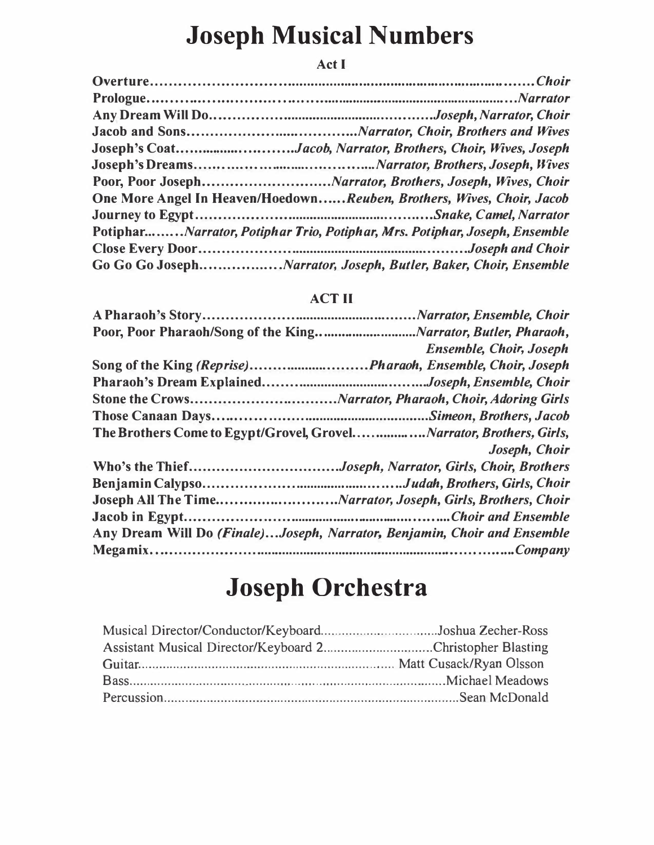# Joseph Musical Numbers

## Act I

| Joseph's CoatJacob, Narrator, Brothers, Choir, Wives, Joseph               |
|----------------------------------------------------------------------------|
|                                                                            |
|                                                                            |
| One More Angel In Heaven/HoedownReuben, Brothers, Wives, Choir, Jacob      |
|                                                                            |
| PotipharNarrator, Potiphar Trio, Potiphar, Mrs. Potiphar, Joseph, Ensemble |
|                                                                            |
|                                                                            |

## ACT II

|                                                                          | <b>Ensemble, Choir, Joseph</b> |
|--------------------------------------------------------------------------|--------------------------------|
| Song of the King (Reprise)Pharaoh, Ensemble, Choir, Joseph               |                                |
|                                                                          |                                |
|                                                                          |                                |
|                                                                          |                                |
| The Brothers Come to Egypt/Grovel, GrovelNarrator, Brothers, Girls,      |                                |
|                                                                          | Joseph, Choir                  |
| Who's the ThiefJoseph, Narrator, Girls, Choir, Brothers                  |                                |
|                                                                          |                                |
| Joseph All The TimeNarrator, Joseph, Girls, Brothers, Choir              |                                |
|                                                                          |                                |
| Any Dream Will Do (Finale)Joseph, Narrator, Benjamin, Choir and Ensemble |                                |
|                                                                          |                                |

# Joseph Orchestra

| Musical Director/Conductor/KeyboardJoshua Zecher-Ross     |  |
|-----------------------------------------------------------|--|
| Assistant Musical Director/Keyboard 2Christopher Blasting |  |
|                                                           |  |
|                                                           |  |
|                                                           |  |